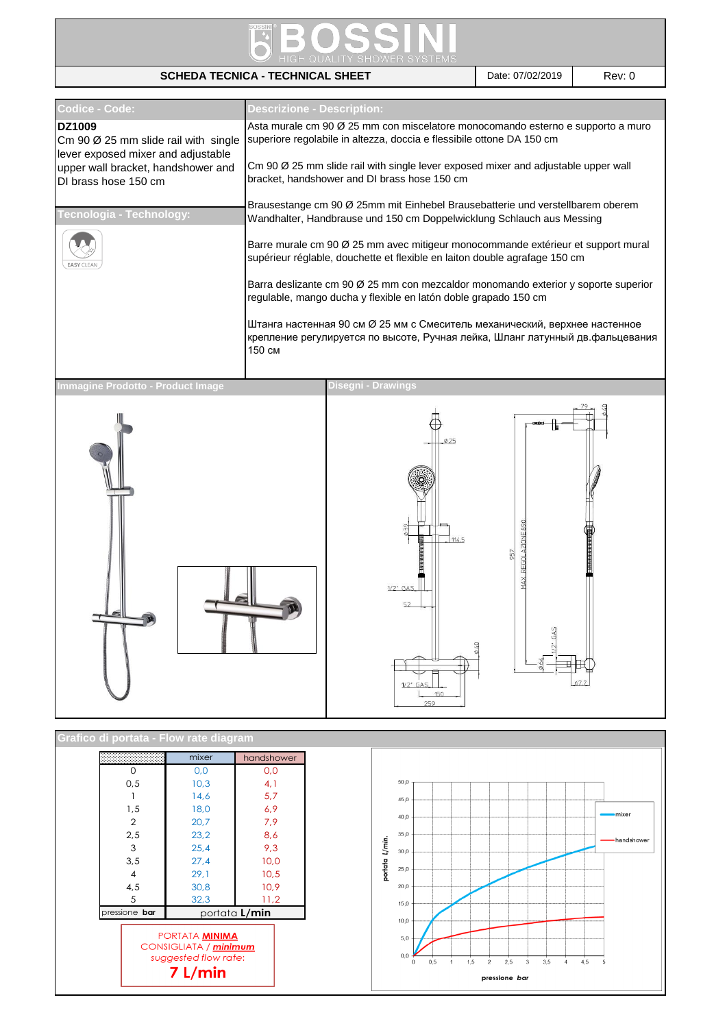

## **SCHEDA TECNICA - TECHNICAL SHEET** Date: 07/02/2019 Rev: 0

| Codice - Code:                                                                                          | <b>Descrizione - Description:</b>                                                                                                                                     |  |  |  |
|---------------------------------------------------------------------------------------------------------|-----------------------------------------------------------------------------------------------------------------------------------------------------------------------|--|--|--|
| <b>DZ1009</b><br>Cm 90 $\varnothing$ 25 mm slide rail with single<br>lever exposed mixer and adjustable | Asta murale cm 90 Ø 25 mm con miscelatore monocomando esterno e supporto a muro<br>superiore regolabile in altezza, doccia e flessibile ottone DA 150 cm              |  |  |  |
| upper wall bracket, handshower and<br>DI brass hose 150 cm                                              | Cm 90 Ø 25 mm slide rail with single lever exposed mixer and adjustable upper wall<br>bracket, handshower and DI brass hose 150 cm                                    |  |  |  |
| Tecnologia - Technology:                                                                                | Brausestange cm 90 Ø 25mm mit Einhebel Brausebatterie und verstellbarem oberem<br>Wandhalter, Handbrause und 150 cm Doppelwicklung Schlauch aus Messing               |  |  |  |
| <b>EASY CLEAN</b>                                                                                       | Barre murale cm 90 Ø 25 mm avec mitigeur monocommande extérieur et support mural<br>supérieur réglable, douchette et flexible en laiton double agrafage 150 cm        |  |  |  |
|                                                                                                         | Barra deslizante cm 90 Ø 25 mm con mezcaldor monomando exterior y soporte superior<br>regulable, mango ducha y flexible en latón doble grapado 150 cm                 |  |  |  |
|                                                                                                         | Штанга настенная 90 см Ø 25 мм с Смеситель механический, верхнее настенное<br>крепление регулируется по высоте, Ручная лейка, Шланг латунный дв.фальцевания<br>150 см |  |  |  |
| Immagine Prodotto - Product Image                                                                       | <b>Disegni - Drawings</b>                                                                                                                                             |  |  |  |
|                                                                                                         | $\emptyset$ 25                                                                                                                                                        |  |  |  |